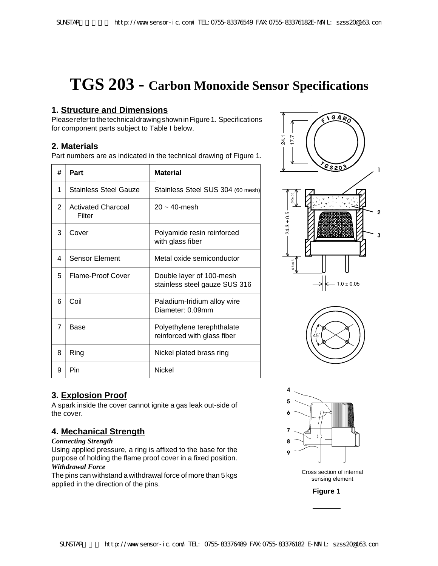# **TGS 203 - Carbon Monoxide Sensor Specifications**

### **1. Structure and Dimensions**

Please refer to the technical drawing shown in Figure 1. Specifications for component parts subject to Table I below.

## **2. Materials**

Part numbers are as indicated in the technical drawing of Figure 1.

| #              | Part                                | <b>Material</b>                                           |
|----------------|-------------------------------------|-----------------------------------------------------------|
| 1              | <b>Stainless Steel Gauze</b>        | Stainless Steel SUS 304 (60 mesh)                         |
| $\overline{2}$ | <b>Activated Charcoal</b><br>Filter | $20 - 40$ -mesh                                           |
| 3              | Cover                               | Polyamide resin reinforced<br>with glass fiber            |
| 4              | <b>Sensor Element</b>               | Metal oxide semiconductor                                 |
| 5              | Flame-Proof Cover                   | Double layer of 100-mesh<br>stainless steel gauze SUS 316 |
| 6              | Coil                                | Paladium-Iridium alloy wire<br>Diameter: 0.09mm           |
| 7              | Base                                | Polyethylene terephthalate<br>reinforced with glass fiber |
| 8              | Ring                                | Nickel plated brass ring                                  |
| 9              | Pin                                 | Nickel                                                    |

# **3. Explosion Proof**

A spark inside the cover cannot ignite a gas leak out-side of the cover.

## **4. Mechanical Strength**

#### *Connecting Strength*

Using applied pressure, a ring is affixed to the base for the purpose of holding the flame proof cover in a fixed position. *Withdrawal Force*

The pins can withstand a withdrawal force of more than 5 kgs applied in the direction of the pins.



Cross section of internal sensing element

**Figure 1**